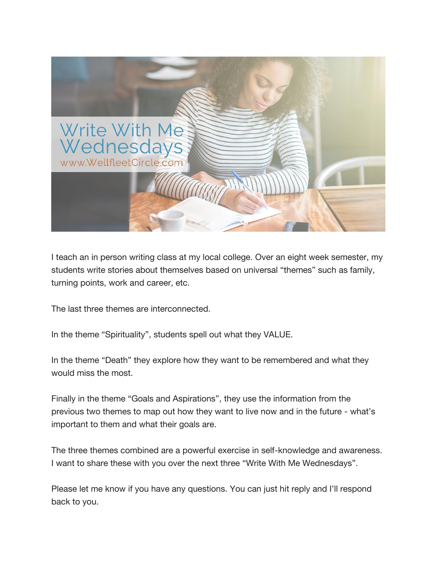

I teach an in person writing class at my local college. Over an eight week semester, my students write stories about themselves based on universal "themes" such as family, turning points, work and career, etc.

The last three themes are interconnected.

In the theme "Spirituality", students spell out what they VALUE.

In the theme "Death" they explore how they want to be remembered and what they would miss the most.

Finally in the theme "Goals and Aspirations", they use the information from the previous two themes to map out how they want to live now and in the future - what's important to them and what their goals are.

The three themes combined are a powerful exercise in self-knowledge and awareness. I want to share these with you over the next three "Write With Me Wednesdays".

Please let me know if you have any questions. You can just hit reply and I'll respond back to you.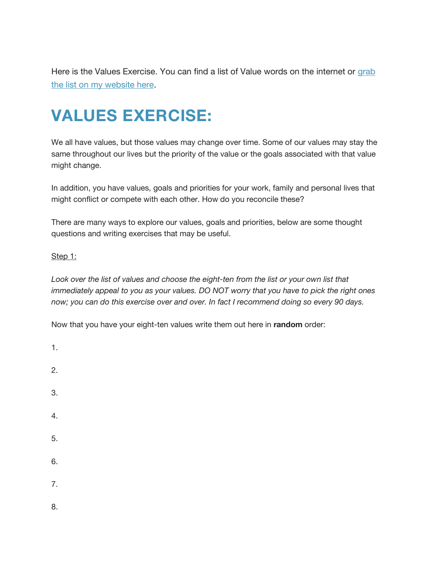Here is the Values Exercise. You can find a list of Value words on the internet or [grab](http://wellfleetcircle.com/values/)  [the list on my website here.](http://wellfleetcircle.com/values/)

# **VALUES EXERCISE:**

We all have values, but those values may change over time. Some of our values may stay the same throughout our lives but the priority of the value or the goals associated with that value might change.

In addition, you have values, goals and priorities for your work, family and personal lives that might conflict or compete with each other. How do you reconcile these?

There are many ways to explore our values, goals and priorities, below are some thought questions and writing exercises that may be useful.

#### Step 1:

1.

Look over the list of values and choose the eight-ten from the list or your own list that *immediately appeal to you as your values. DO NOT worry that you have to pick the right ones now; you can do this exercise over and over. In fact I recommend doing so every 90 days.*

Now that you have your eight-ten values write them out here in **random** order:

2. 3. 4. 5. 6. 7. 8.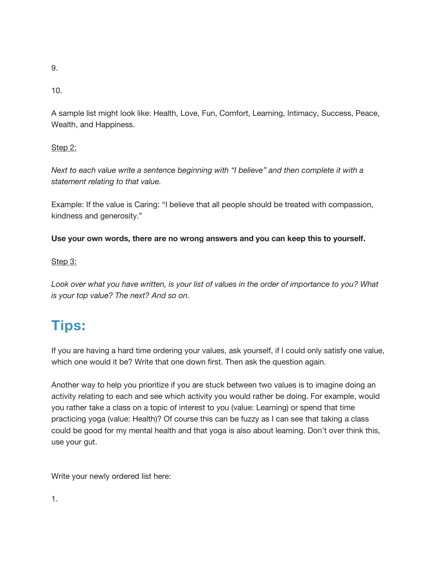10.

A sample list might look like: Health, Love, Fun, Comfort, Learning, Intimacy, Success, Peace, Wealth, and Happiness.

#### Step 2:

*Next to each value write a sentence beginning with "I believe" and then complete it with a statement relating to that value.*

Example: If the value is Caring: "I believe that all people should be treated with compassion, kindness and generosity."

#### **Use your own words, there are no wrong answers and you can keep this to yourself.**

#### Step 3:

*Look over what you have written, is your list of values in the order of importance to you? What is your top value? The next? And so on.*

## **Tips:**

If you are having a hard time ordering your values, ask yourself, if I could only satisfy one value, which one would it be? Write that one down first. Then ask the question again.

Another way to help you prioritize if you are stuck between two values is to imagine doing an activity relating to each and see which activity you would rather be doing. For example, would you rather take a class on a topic of interest to you (value: Learning) or spend that time practicing yoga (value: Health)? Of course this can be fuzzy as I can see that taking a class could be good for my mental health and that yoga is also about learning. Don't over think this, use your gut.

Write your newly ordered list here: